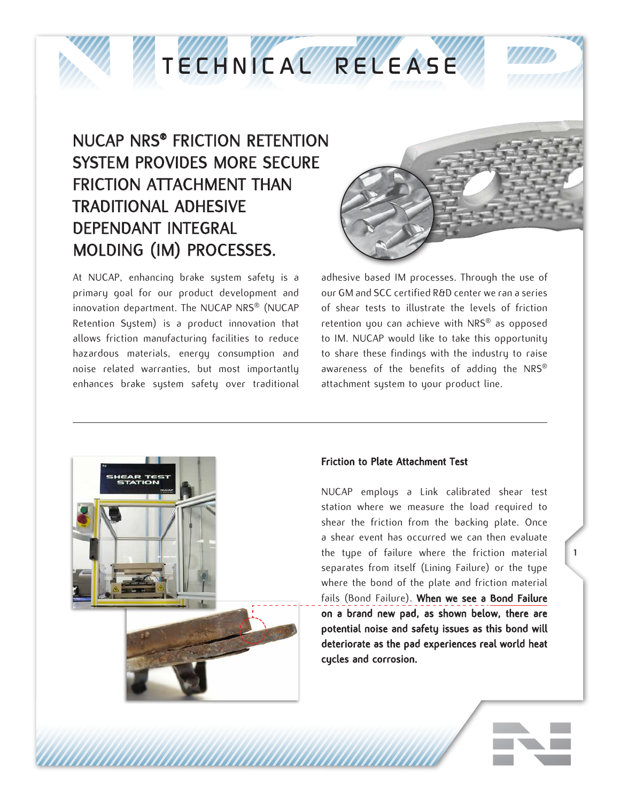

## *TECHNICAL RELEASE*

## NUCAP NRS® FRICTION RETENTION SYSTEM PROVIDES MORE SECURE FRICTION ATTACHMENT THAN TRADITIONAL ADHESIVE DEPENDANT INTEGRAL MOLDING (IM) PROCESSES.

At NUCAP, enhancing brake system safety is a primary goal for our product development and innovation department. The NUCAP NRS® (NUCAP Retention System) is a product innovation that allows friction manufacturing facilities to reduce hazardous materials, energy consumption and noise related warranties, but most importantly enhances brake system safety over traditional



adhesive based IM processes. Through the use of our GM and SCC certified R&D center we ran a series of shear tests to illustrate the levels of friction retention you can achieve with NRS® as opposed to IM. NUCAP would like to take this opportunity to share these findings with the industry to raise awareness of the benefits of adding the NRS® attachment system to your product line.



## Friction to Plate Attachment Test

NUCAP employs a Link calibrated shear test station where we measure the load required to shear the friction from the backing plate. Once a shear event has occurred we can then evaluate the type of failure where the friction material separates from itself (Lining Failure) or the type where the bond of the plate and friction material fails (Bond Failure). When we see a Bond Failure on a brand new pad, as shown below, there are potential noise and safety issues as this bond will deteriorate as the pad experiences real world heat cycles and corrosion.

1